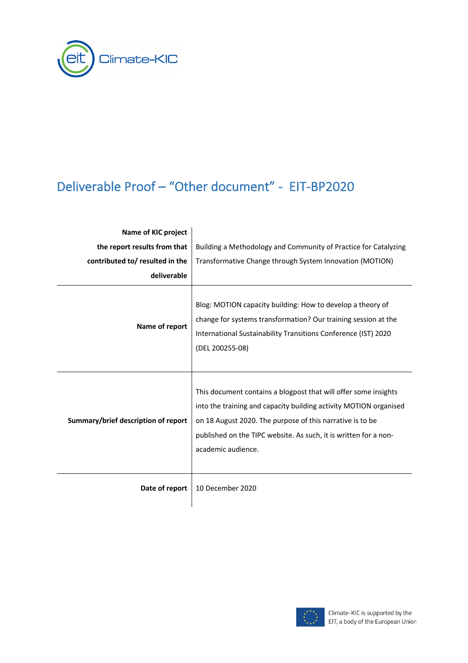

## Deliverable Proof – "Other document" - EIT-BP2020

| Name of KIC project                 |                                                                                                                                                                                                                                                                                             |
|-------------------------------------|---------------------------------------------------------------------------------------------------------------------------------------------------------------------------------------------------------------------------------------------------------------------------------------------|
| the report results from that        | Building a Methodology and Community of Practice for Catalyzing                                                                                                                                                                                                                             |
| contributed to/ resulted in the     | Transformative Change through System Innovation (MOTION)                                                                                                                                                                                                                                    |
| deliverable                         |                                                                                                                                                                                                                                                                                             |
| Name of report                      | Blog: MOTION capacity building: How to develop a theory of<br>change for systems transformation? Our training session at the<br>International Sustainability Transitions Conference (IST) 2020<br>(DEL 200255-08)                                                                           |
| Summary/brief description of report | This document contains a blogpost that will offer some insights<br>into the training and capacity building activity MOTION organised<br>on 18 August 2020. The purpose of this narrative is to be<br>published on the TIPC website. As such, it is written for a non-<br>academic audience. |
| Date of report                      | 10 December 2020                                                                                                                                                                                                                                                                            |

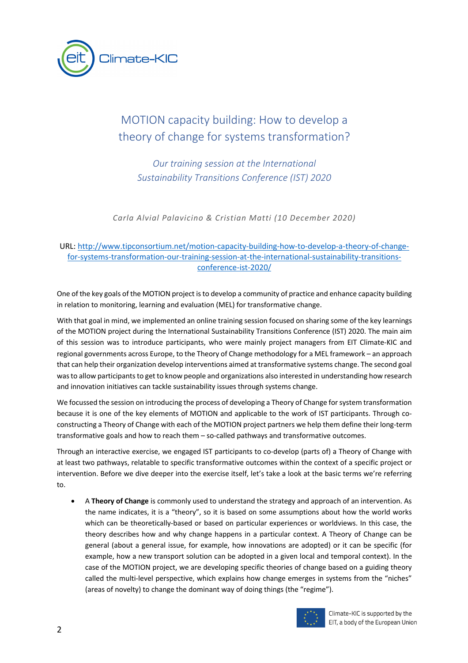

## MOTION capacity building: How to develop a theory of change for systems transformation?

*Our training session at the International Sustainability Transitions Conference (IST) 2020*

*Carla Alvial Palavicino & Cristian Matti (10 December 2020)*

## URL: http://www.tipconsortium.net/motion-capacity-building-how-to-develop-a-theory-of-changefor-systems-transformation-our-training-session-at-the-international-sustainability-transitionsconference-ist-2020/

One of the key goals of the MOTION project is to develop a community of practice and enhance capacity building in relation to monitoring, learning and evaluation (MEL) for transformative change.

With that goal in mind, we implemented an online training session focused on sharing some of the key learnings of the MOTION project during the International Sustainability Transitions Conference (IST) 2020. The main aim of this session was to introduce participants, who were mainly project managers from EIT Climate-KIC and regional governments across Europe, to the Theory of Change methodology for a MEL framework – an approach that can help their organization develop interventions aimed at transformative systems change. The second goal was to allow participants to get to know people and organizations also interested in understanding how research and innovation initiatives can tackle sustainability issues through systems change.

We focussed the session on introducing the process of developing a Theory of Change for system transformation because it is one of the key elements of MOTION and applicable to the work of IST participants. Through coconstructing a Theory of Change with each of the MOTION project partners we help them define their long-term transformative goals and how to reach them – so-called pathways and transformative outcomes.

Through an interactive exercise, we engaged IST participants to co-develop (parts of) a Theory of Change with at least two pathways, relatable to specific transformative outcomes within the context of a specific project or intervention. Before we dive deeper into the exercise itself, let's take a look at the basic terms we're referring to.

• A **Theory of Change** is commonly used to understand the strategy and approach of an intervention. As the name indicates, it is a "theory", so it is based on some assumptions about how the world works which can be theoretically-based or based on particular experiences or worldviews. In this case, the theory describes how and why change happens in a particular context. A Theory of Change can be general (about a general issue, for example, how innovations are adopted) or it can be specific (for example, how a new transport solution can be adopted in a given local and temporal context). In the case of the MOTION project, we are developing specific theories of change based on a guiding theory called the multi-level perspective, which explains how change emerges in systems from the "niches" (areas of novelty) to change the dominant way of doing things (the "regime").



Climate-KIC is supported by the EIT, a body of the European Union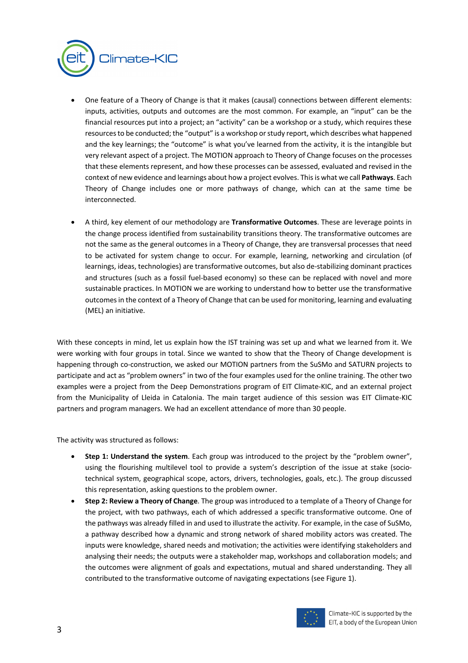

- One feature of a Theory of Change is that it makes (causal) connections between different elements: inputs, activities, outputs and outcomes are the most common. For example, an "input" can be the financial resources put into a project; an "activity" can be a workshop or a study, which requires these resources to be conducted; the "output" is a workshop or study report, which describes what happened and the key learnings; the "outcome" is what you've learned from the activity, it is the intangible but very relevant aspect of a project. The MOTION approach to Theory of Change focuses on the processes that these elements represent, and how these processes can be assessed, evaluated and revised in the context of new evidence and learnings about how a project evolves. This is what we call **Pathways**. Each Theory of Change includes one or more pathways of change, which can at the same time be interconnected.
- A third, key element of our methodology are **Transformative Outcomes**. These are leverage points in the change process identified from sustainability transitions theory. The transformative outcomes are not the same as the general outcomes in a Theory of Change, they are transversal processes that need to be activated for system change to occur. For example, learning, networking and circulation (of learnings, ideas, technologies) are transformative outcomes, but also de-stabilizing dominant practices and structures (such as a fossil fuel-based economy) so these can be replaced with novel and more sustainable practices. In MOTION we are working to understand how to better use the transformative outcomes in the context of a Theory of Change that can be used for monitoring, learning and evaluating (MEL) an initiative.

With these concepts in mind, let us explain how the IST training was set up and what we learned from it. We were working with four groups in total. Since we wanted to show that the Theory of Change development is happening through co-construction, we asked our MOTION partners from the SuSMo and SATURN projects to participate and act as "problem owners" in two of the four examples used for the online training. The other two examples were a project from the Deep Demonstrations program of EIT Climate-KIC, and an external project from the Municipality of Lleida in Catalonia. The main target audience of this session was EIT Climate-KIC partners and program managers. We had an excellent attendance of more than 30 people.

The activity was structured as follows:

- **Step 1: Understand the system**. Each group was introduced to the project by the "problem owner", using the flourishing multilevel tool to provide a system's description of the issue at stake (sociotechnical system, geographical scope, actors, drivers, technologies, goals, etc.). The group discussed this representation, asking questions to the problem owner.
- **Step 2: Review a Theory of Change**. The group was introduced to a template of a Theory of Change for the project, with two pathways, each of which addressed a specific transformative outcome. One of the pathways was already filled in and used to illustrate the activity. For example, in the case of SuSMo, a pathway described how a dynamic and strong network of shared mobility actors was created. The inputs were knowledge, shared needs and motivation; the activities were identifying stakeholders and analysing their needs; the outputs were a stakeholder map, workshops and collaboration models; and the outcomes were alignment of goals and expectations, mutual and shared understanding. They all contributed to the transformative outcome of navigating expectations (see Figure 1).

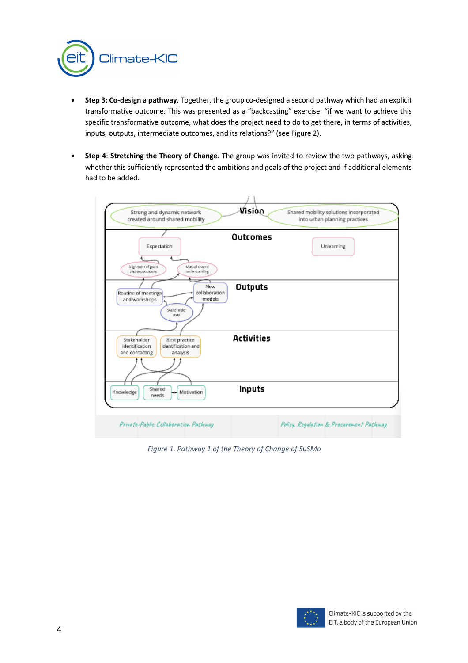

- **Step 3: Co-design a pathway**. Together, the group co-designed a second pathway which had an explicit transformative outcome. This was presented as a "backcasting" exercise: "if we want to achieve this specific transformative outcome, what does the project need to do to get there, in terms of activities, inputs, outputs, intermediate outcomes, and its relations?" (see Figure 2).
- **Step 4**: **Stretching the Theory of Change.** The group was invited to review the two pathways, asking whether this sufficiently represented the ambitions and goals of the project and if additional elements had to be added.



*Figure 1. Pathway 1 of the Theory of Change of SuSMo*